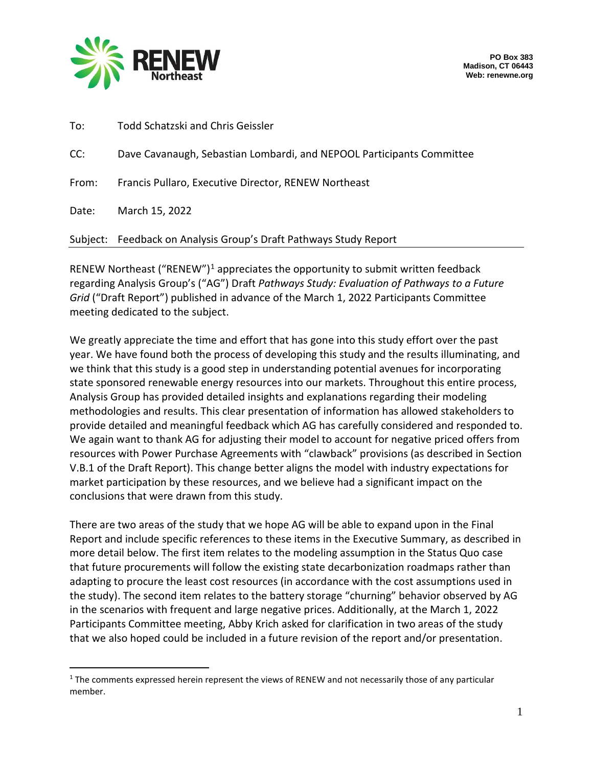

| To:   | Todd Schatzski and Chris Geissler                                     |
|-------|-----------------------------------------------------------------------|
| CC:   | Dave Cavanaugh, Sebastian Lombardi, and NEPOOL Participants Committee |
| From: | Francis Pullaro, Executive Director, RENEW Northeast                  |
| Date: | March 15, 2022                                                        |
|       | Subject: Feedback on Analysis Group's Draft Pathways Study Report     |

RENEW Northeast ("RENEW")<sup>[1](#page-0-0)</sup> appreciates the opportunity to submit written feedback regarding Analysis Group's ("AG") Draft *Pathways Study: Evaluation of Pathways to a Future Grid* ("Draft Report") published in advance of the March 1, 2022 Participants Committee meeting dedicated to the subject.

We greatly appreciate the time and effort that has gone into this study effort over the past year. We have found both the process of developing this study and the results illuminating, and we think that this study is a good step in understanding potential avenues for incorporating state sponsored renewable energy resources into our markets. Throughout this entire process, Analysis Group has provided detailed insights and explanations regarding their modeling methodologies and results. This clear presentation of information has allowed stakeholders to provide detailed and meaningful feedback which AG has carefully considered and responded to. We again want to thank AG for adjusting their model to account for negative priced offers from resources with Power Purchase Agreements with "clawback" provisions (as described in Section V.B.1 of the Draft Report). This change better aligns the model with industry expectations for market participation by these resources, and we believe had a significant impact on the conclusions that were drawn from this study.

There are two areas of the study that we hope AG will be able to expand upon in the Final Report and include specific references to these items in the Executive Summary, as described in more detail below. The first item relates to the modeling assumption in the Status Quo case that future procurements will follow the existing state decarbonization roadmaps rather than adapting to procure the least cost resources (in accordance with the cost assumptions used in the study). The second item relates to the battery storage "churning" behavior observed by AG in the scenarios with frequent and large negative prices. Additionally, at the March 1, 2022 Participants Committee meeting, Abby Krich asked for clarification in two areas of the study that we also hoped could be included in a future revision of the report and/or presentation.

<span id="page-0-0"></span><sup>&</sup>lt;sup>1</sup> The comments expressed herein represent the views of RENEW and not necessarily those of any particular member.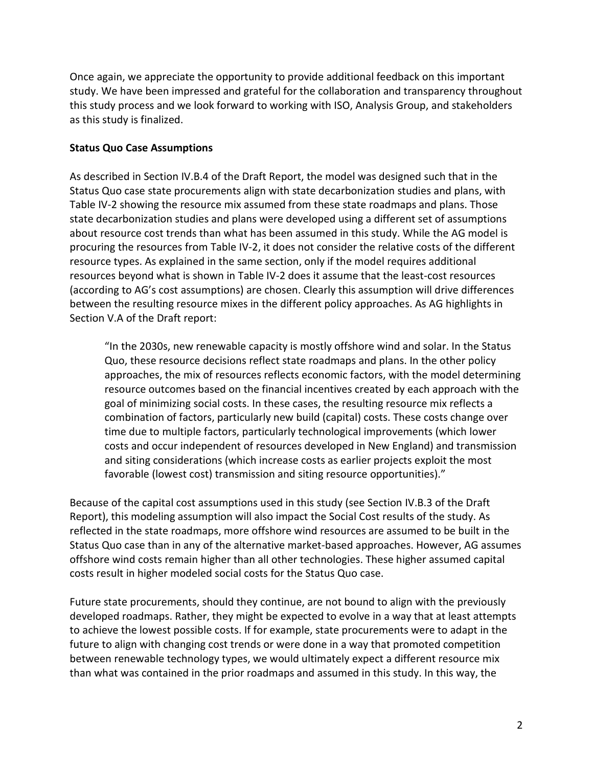Once again, we appreciate the opportunity to provide additional feedback on this important study. We have been impressed and grateful for the collaboration and transparency throughout this study process and we look forward to working with ISO, Analysis Group, and stakeholders as this study is finalized.

## **Status Quo Case Assumptions**

As described in Section IV.B.4 of the Draft Report, the model was designed such that in the Status Quo case state procurements align with state decarbonization studies and plans, with Table IV-2 showing the resource mix assumed from these state roadmaps and plans. Those state decarbonization studies and plans were developed using a different set of assumptions about resource cost trends than what has been assumed in this study. While the AG model is procuring the resources from Table IV-2, it does not consider the relative costs of the different resource types. As explained in the same section, only if the model requires additional resources beyond what is shown in Table IV-2 does it assume that the least-cost resources (according to AG's cost assumptions) are chosen. Clearly this assumption will drive differences between the resulting resource mixes in the different policy approaches. As AG highlights in Section V.A of the Draft report:

"In the 2030s, new renewable capacity is mostly offshore wind and solar. In the Status Quo, these resource decisions reflect state roadmaps and plans. In the other policy approaches, the mix of resources reflects economic factors, with the model determining resource outcomes based on the financial incentives created by each approach with the goal of minimizing social costs. In these cases, the resulting resource mix reflects a combination of factors, particularly new build (capital) costs. These costs change over time due to multiple factors, particularly technological improvements (which lower costs and occur independent of resources developed in New England) and transmission and siting considerations (which increase costs as earlier projects exploit the most favorable (lowest cost) transmission and siting resource opportunities)."

Because of the capital cost assumptions used in this study (see Section IV.B.3 of the Draft Report), this modeling assumption will also impact the Social Cost results of the study. As reflected in the state roadmaps, more offshore wind resources are assumed to be built in the Status Quo case than in any of the alternative market-based approaches. However, AG assumes offshore wind costs remain higher than all other technologies. These higher assumed capital costs result in higher modeled social costs for the Status Quo case.

Future state procurements, should they continue, are not bound to align with the previously developed roadmaps. Rather, they might be expected to evolve in a way that at least attempts to achieve the lowest possible costs. If for example, state procurements were to adapt in the future to align with changing cost trends or were done in a way that promoted competition between renewable technology types, we would ultimately expect a different resource mix than what was contained in the prior roadmaps and assumed in this study. In this way, the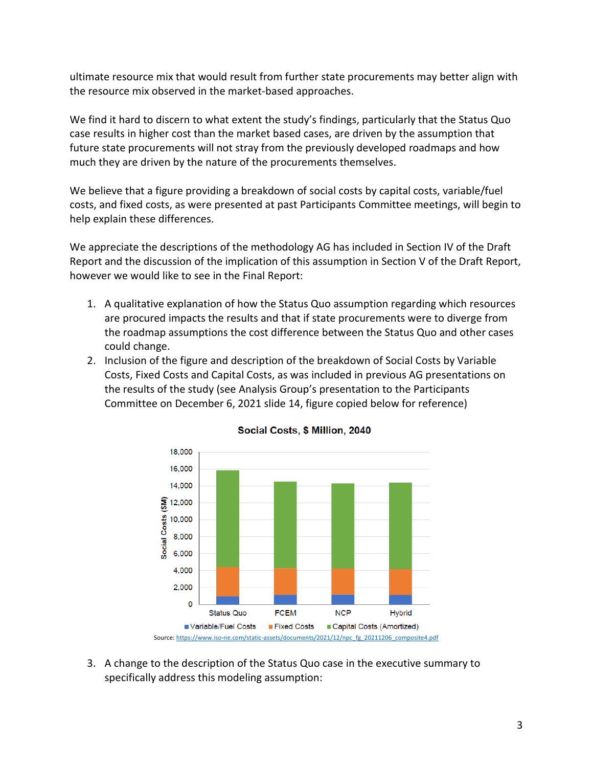ultimate resource mix that would result from further state procurements may better align with the resource mix observed in the market-based approaches.

We find it hard to discern to what extent the study's findings, particularly that the Status Quo case results in higher cost than the market based cases, are driven by the assumption that future state procurements will not stray from the previously developed roadmaps and how much they are driven by the nature of the procurements themselves.

We believe that a figure providing a breakdown of social costs by capital costs, variable/fuel costs, and fixed costs, as were presented at past Participants Committee meetings, will begin to help explain these differences.

We appreciate the descriptions of the methodology AG has included in Section IV of the Draft Report and the discussion of the implication of this assumption in Section V of the Draft Report, however we would like to see in the Final Report:

- 1. A qualitative explanation of how the Status Quo assumption regarding which resources are procured impacts the results and that if state procurements were to diverge from the roadmap assumptions the cost difference between the Status Quo and other cases could change.
- 2. Inclusion of the figure and description of the breakdown of Social Costs by Variable Costs, Fixed Costs and Capital Costs, as was included in previous AG presentations on the results of the study (see Analysis Group's presentation to the Participants Committee on December 6, 2021 slide 14, figure copied below for reference)



## Social Costs, \$ Million, 2040

3. A change to the description of the Status Quo case in the executive summary to specifically address this modeling assumption: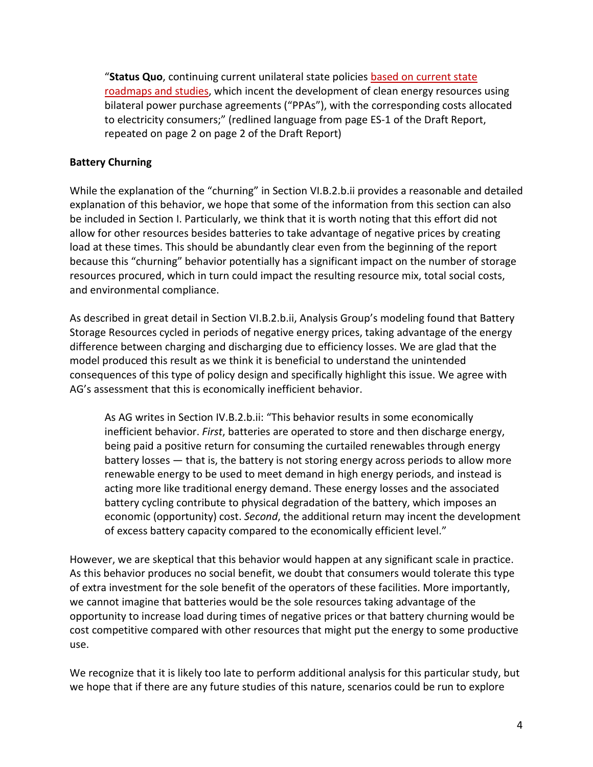"**Status Quo**, continuing current unilateral state policies based on current state roadmaps and studies, which incent the development of clean energy resources using bilateral power purchase agreements ("PPAs"), with the corresponding costs allocated to electricity consumers;" (redlined language from page ES-1 of the Draft Report, repeated on page 2 on page 2 of the Draft Report)

## **Battery Churning**

While the explanation of the "churning" in Section VI.B.2.b.ii provides a reasonable and detailed explanation of this behavior, we hope that some of the information from this section can also be included in Section I. Particularly, we think that it is worth noting that this effort did not allow for other resources besides batteries to take advantage of negative prices by creating load at these times. This should be abundantly clear even from the beginning of the report because this "churning" behavior potentially has a significant impact on the number of storage resources procured, which in turn could impact the resulting resource mix, total social costs, and environmental compliance.

As described in great detail in Section VI.B.2.b.ii, Analysis Group's modeling found that Battery Storage Resources cycled in periods of negative energy prices, taking advantage of the energy difference between charging and discharging due to efficiency losses. We are glad that the model produced this result as we think it is beneficial to understand the unintended consequences of this type of policy design and specifically highlight this issue. We agree with AG's assessment that this is economically inefficient behavior.

As AG writes in Section IV.B.2.b.ii: "This behavior results in some economically inefficient behavior. *First*, batteries are operated to store and then discharge energy, being paid a positive return for consuming the curtailed renewables through energy battery losses — that is, the battery is not storing energy across periods to allow more renewable energy to be used to meet demand in high energy periods, and instead is acting more like traditional energy demand. These energy losses and the associated battery cycling contribute to physical degradation of the battery, which imposes an economic (opportunity) cost. *Second*, the additional return may incent the development of excess battery capacity compared to the economically efficient level."

However, we are skeptical that this behavior would happen at any significant scale in practice. As this behavior produces no social benefit, we doubt that consumers would tolerate this type of extra investment for the sole benefit of the operators of these facilities. More importantly, we cannot imagine that batteries would be the sole resources taking advantage of the opportunity to increase load during times of negative prices or that battery churning would be cost competitive compared with other resources that might put the energy to some productive use.

We recognize that it is likely too late to perform additional analysis for this particular study, but we hope that if there are any future studies of this nature, scenarios could be run to explore